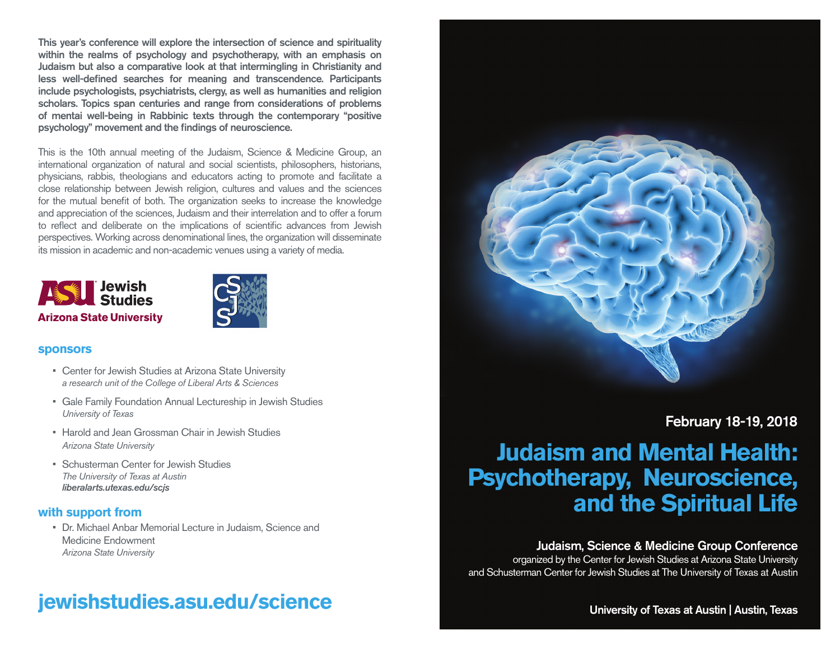This year's conference will explore the intersection of science and spirituality within the realms of psychology and psychotherapy, with an emphasis on Judaism but also a comparative look at that intermingling in Christianity and less well-defined searches for meaning and transcendence. Participants include psychologists, psychiatrists, clergy, as well as humanities and religion scholars. Topics span centuries and range from considerations of problems of mentai well-being in Rabbinic texts through the contemporary "positive psychology" movement and the findings of neuroscience.

This is the 10th annual meeting of the Judaism, Science & Medicine Group, an international organization of natural and social scientists, philosophers, historians, physicians, rabbis, theologians and educators acting to promote and facilitate a close relationship between Jewish religion, cultures and values and the sciences for the mutual benefit of both. The organization seeks to increase the knowledge and appreciation of the sciences, Judaism and their interrelation and to offer a forum to reflect and deliberate on the implications of scientific advances from Jewish perspectives. Working across denominational lines, the organization will disseminate its mission in academic and non-academic venues using a variety of media.





#### **sponsors**

- Center for Jewish Studies at Arizona State University *a research unit of the College of Liberal Arts & Sciences*
- Gale Family Foundation Annual Lectureship in Jewish Studies *University of Texas*
- Harold and Jean Grossman Chair in Jewish Studies *Arizona State University*
- Schusterman Center for Jewish Studies *The University of Texas at Austin liberalarts.utexas.edu/scjs*

#### **with support from**

• Dr. Michael Anbar Memorial Lecture in Judaism, Science and Medicine Endowment *Arizona State University*

## **jewishstudies.asu.edu/science**



February 18-19, 2018

# **Judaism and Mental Health: Psychotherapy, Neuroscience, and the Spiritual Life**

### Judaism, Science & Medicine Group Conference

organized by the Center for Jewish Studies at Arizona State University and Schusterman Center for Jewish Studies at The University of Texas at Austin

University of Texas at Austin | Austin, Texas